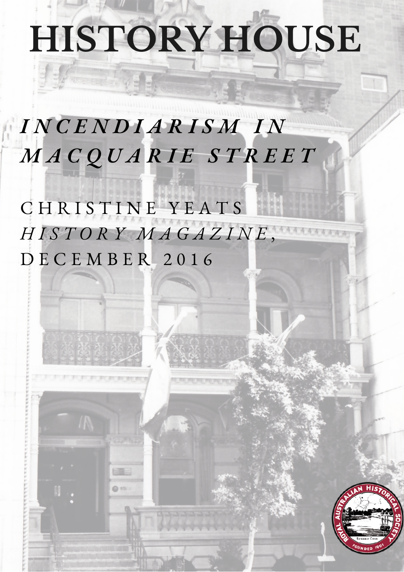# **HISTORY HOUSE**

# *I N C E N D I A R I S M I N M A C Q U A R I E S T R E E T*

CHRISTINE YEATS *H I S T O R Y M A G A Z I N E* , D E C E M B E R 2 0 1 6

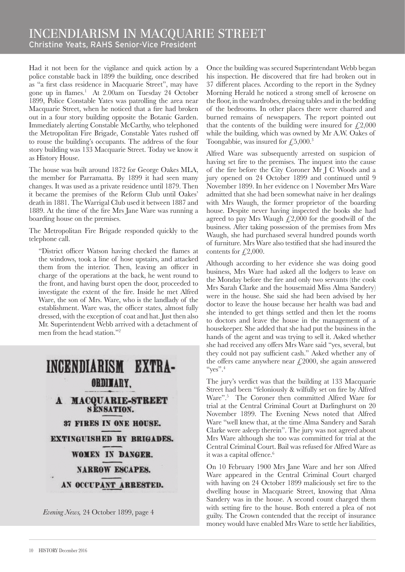## INCENDIARISM IN MACQUARIE STREET Christine Yeats, RAHS Senior-Vice President

Had it not been for the vigilance and quick action by a police constable back in  $1899$  the building, once described as "a first class residence in Macquarie Street", may have gone up in flames.<sup>1</sup> At 2.00am on Tuesday 24 October  $\overline{1899}$ , Police Constable Yates was patrolling the area near Macquarie Street, when he noticed that a fire had broken out in a four story building opposite the Botanic Garden. Immediately alerting Constable McCarthy, who telephoned the Metropolitan Fire Brigade, Constable Yates rushed off to rouse the building's occupants. The address of the four story building was 133 Macquarie Street. Today we know it as History House.

The house was built around 1872 for George Oakes MLA, the member for Parramatta. By 1899 it had seen many changes. It was used as a private residence until 1879. Then it became the premises of the Reform Club until Oakes' death in 1881. The Warrigal Club used it between 1887 and 1889. At the time of the fire Mrs Jane Ware was running a boarding house on the premises.

The Metropolitan Fire Brigade responded quickly to the telephone call.

"District officer Watson having checked the flames at the windows, took a line of hose upstairs, and attacked them from the interior. Then, leaving an officer in charge of the operations at the back, he went round to the front, and having burst open the door, proceeded to investigate the extent of the fire. Inside he met Alfred Ware, the son of Mrs. Ware, who is the landlady of the establishment. Ware was, the officer states, almost fully dressed, with the exception of coat and hat. Just then also Mr. Superintendent Webb arrived with a detachment of men from the head station."<sup>2</sup>



*Evening News, 24 October 1899, page 4* 

Once the building was secured Superintendant Webb began his inspection. He discovered that fire had broken out in 37 different places. According to the report in the Sydney Morning Herald he noticed a strong smell of kerosene on the floor, in the wardrobes, dressing tables and in the bedding of the bedrooms. In other places there were charred and burned remains of newspapers. The report pointed out that the contents of the building were insured for  $\sqrt{f}$ , 2,000 while the building, which was owned by Mr A.W. Oakes of Toongabbie, was insured for  $\sqrt{25,000.^3}$ 

Alfred Ware was subsequently arrested on suspicion of having set fire to the premises. The inquest into the cause of the fire before the City Coroner Mr J C Woods and a jury opened on 24 October 1899 and continued until 9 November 1899. In her evidence on 1 November Mrs Ware admitted that she had been somewhat naive in her dealings with Mrs Waugh, the former proprietor of the boarding house. Despite never having inspected the books she had agreed to pay Mrs Waugh  $\tilde{\chi}$ 2,000 for the goodwill of the business. After taking possession of the premises from Mrs Waugh, she had purchased several hundred pounds worth of furniture. Mrs Ware also testified that she had insured the contents for  $\sqrt{2,000}$ .

Although according to her evidence she was doing good business, Mrs Ware had asked all the lodgers to leave on the Monday before the fire and only two servants (the cook Mrs Sarah Clarke and the housemaid Miss Alma Sandery) were in the house. She said she had been advised by her doctor to leave the house because her health was bad and she intended to get things settled and then let the rooms to doctors and leave the house in the management of a housekeeper. She added that she had put the business in the hands of the agent and was trying to sell it. Asked whether she had received any offers Mrs Ware said "yes, several, but they could not pay sufficient cash." Asked whether any of the offers came anywhere near  $\ell$ , 2000, she again answered "yes". $4$ 

The jury's verdict was that the building at 133 Macquarie Street had been "feloniously & wilfully set on fire by Alfred Ware".<sup>5</sup> The Coroner then committed Alfred Ware for trial at the Central Criminal Court at Darlinghurst on 20 November 1899. The Evening News noted that Alfred Ware "well knew that, at the time Alma Sandery and Sarah Clarke were asleep therein". The jury was not agreed about Mrs Ware although she too was committed for trial at the Central Criminal Court. Bail was refused for Alfred Ware as it was a capital offence.<sup>6</sup>

On 10 February 1900 Mrs Jane Ware and her son Alfred Ware appeared in the Central Criminal Court charged with having on 24 October 1899 maliciously set fire to the dwelling house in Macquarie Street, knowing that Alma Sandery was in the house. A second count charged them with setting fire to the house. Both entered a plea of not guilty. The Crown contended that the receipt of insurance money would have enabled Mrs Ware to settle her liabilities,